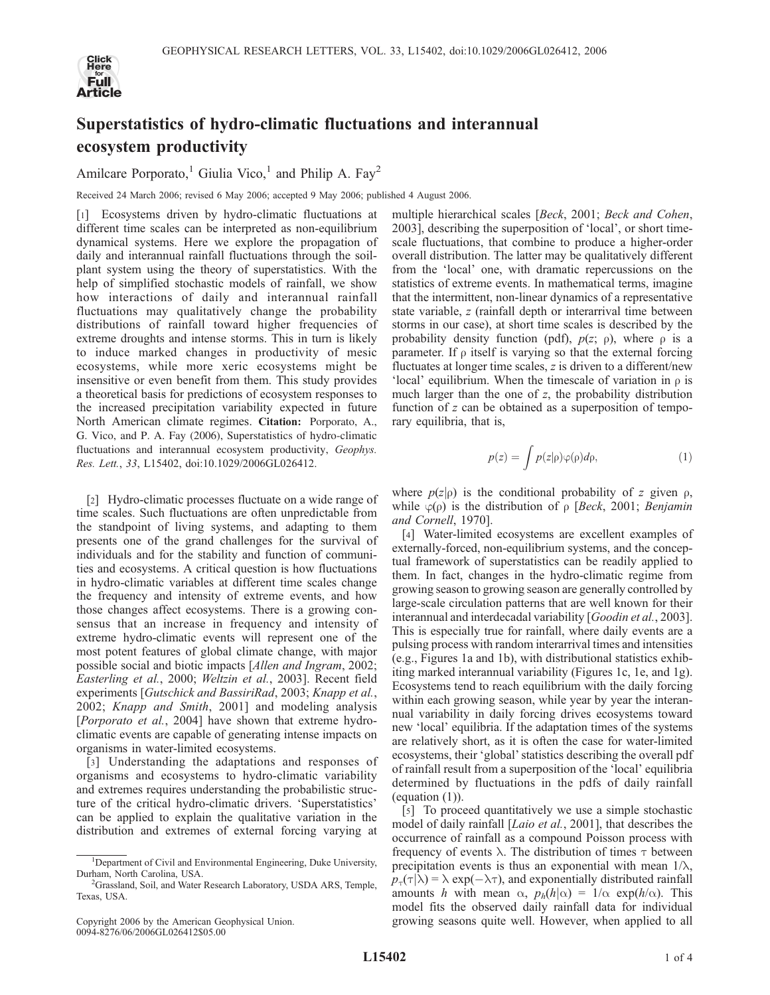

## Superstatistics of hydro-climatic fluctuations and interannual ecosystem productivity

Amilcare Porporato,<sup>1</sup> Giulia Vico,<sup>1</sup> and Philip A. Fay<sup>2</sup>

Received 24 March 2006; revised 6 May 2006; accepted 9 May 2006; published 4 August 2006.

[1] Ecosystems driven by hydro-climatic fluctuations at different time scales can be interpreted as non-equilibrium dynamical systems. Here we explore the propagation of daily and interannual rainfall fluctuations through the soilplant system using the theory of superstatistics. With the help of simplified stochastic models of rainfall, we show how interactions of daily and interannual rainfall fluctuations may qualitatively change the probability distributions of rainfall toward higher frequencies of extreme droughts and intense storms. This in turn is likely to induce marked changes in productivity of mesic ecosystems, while more xeric ecosystems might be insensitive or even benefit from them. This study provides a theoretical basis for predictions of ecosystem responses to the increased precipitation variability expected in future North American climate regimes. Citation: Porporato, A., G. Vico, and P. A. Fay (2006), Superstatistics of hydro-climatic fluctuations and interannual ecosystem productivity, Geophys. Res. Lett., 33, L15402, doi:10.1029/2006GL026412.

[2] Hydro-climatic processes fluctuate on a wide range of time scales. Such fluctuations are often unpredictable from the standpoint of living systems, and adapting to them presents one of the grand challenges for the survival of individuals and for the stability and function of communities and ecosystems. A critical question is how fluctuations in hydro-climatic variables at different time scales change the frequency and intensity of extreme events, and how those changes affect ecosystems. There is a growing consensus that an increase in frequency and intensity of extreme hydro-climatic events will represent one of the most potent features of global climate change, with major possible social and biotic impacts [Allen and Ingram, 2002; Easterling et al., 2000; Weltzin et al., 2003]. Recent field experiments [Gutschick and BassiriRad, 2003; Knapp et al., 2002; Knapp and Smith, 2001] and modeling analysis [Porporato et al., 2004] have shown that extreme hydroclimatic events are capable of generating intense impacts on organisms in water-limited ecosystems.

[3] Understanding the adaptations and responses of organisms and ecosystems to hydro-climatic variability and extremes requires understanding the probabilistic structure of the critical hydro-climatic drivers. 'Superstatistics' can be applied to explain the qualitative variation in the distribution and extremes of external forcing varying at

Copyright 2006 by the American Geophysical Union. 0094-8276/06/2006GL026412\$05.00

multiple hierarchical scales [*Beck*, 2001; *Beck and Cohen*, 2003], describing the superposition of 'local', or short timescale fluctuations, that combine to produce a higher-order overall distribution. The latter may be qualitatively different from the 'local' one, with dramatic repercussions on the statistics of extreme events. In mathematical terms, imagine that the intermittent, non-linear dynamics of a representative state variable, z (rainfall depth or interarrival time between storms in our case), at short time scales is described by the probability density function (pdf),  $p(z; \rho)$ , where  $\rho$  is a parameter. If  $\rho$  itself is varying so that the external forcing fluctuates at longer time scales,  $z$  is driven to a different/new 'local' equilibrium. When the timescale of variation in  $\rho$  is much larger than the one of  $z$ , the probability distribution function of z can be obtained as a superposition of temporary equilibria, that is,

$$
p(z) = \int p(z|\rho)\varphi(\rho)d\rho, \qquad (1)
$$

where  $p(z|\rho)$  is the conditional probability of z given  $\rho$ , while  $\varphi(\rho)$  is the distribution of  $\rho$  [*Beck*, 2001; *Benjamin* and Cornell, 1970].

[4] Water-limited ecosystems are excellent examples of externally-forced, non-equilibrium systems, and the conceptual framework of superstatistics can be readily applied to them. In fact, changes in the hydro-climatic regime from growing season to growing season are generally controlled by large-scale circulation patterns that are well known for their interannual and interdecadal variability [Goodin et al., 2003]. This is especially true for rainfall, where daily events are a pulsing process with random interarrival times and intensities (e.g., Figures 1a and 1b), with distributional statistics exhibiting marked interannual variability (Figures 1c, 1e, and 1g). Ecosystems tend to reach equilibrium with the daily forcing within each growing season, while year by year the interannual variability in daily forcing drives ecosystems toward new 'local' equilibria. If the adaptation times of the systems are relatively short, as it is often the case for water-limited ecosystems, their 'global' statistics describing the overall pdf of rainfall result from a superposition of the 'local' equilibria determined by fluctuations in the pdfs of daily rainfall (equation (1)).

[5] To proceed quantitatively we use a simple stochastic model of daily rainfall [Laio et al., 2001], that describes the occurrence of rainfall as a compound Poisson process with frequency of events  $\lambda$ . The distribution of times  $\tau$  between precipitation events is thus an exponential with mean  $1/\lambda$ ,  $p_{\tau}(\tau|\lambda) = \lambda \exp(-\lambda \tau)$ , and exponentially distributed rainfall amounts h with mean  $\alpha$ ,  $p_h(h|\alpha) = 1/\alpha \exp(h/\alpha)$ . This model fits the observed daily rainfall data for individual growing seasons quite well. However, when applied to all

<sup>&</sup>lt;sup>1</sup>Department of Civil and Environmental Engineering, Duke University, Durham, North Carolina, USA. <sup>2</sup>

<sup>&</sup>lt;sup>2</sup>Grassland, Soil, and Water Research Laboratory, USDA ARS, Temple, Texas, USA.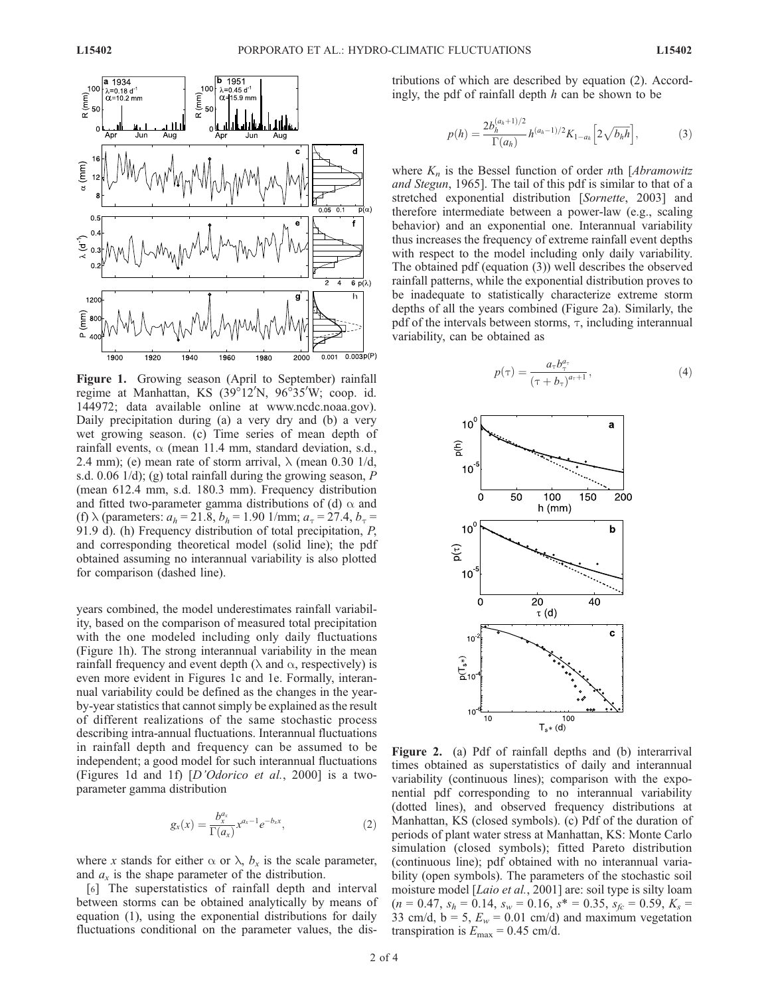

Figure 1. Growing season (April to September) rainfall regime at Manhattan, KS (39°12'N, 96°35'W; coop. id. 144972; data available online at www.ncdc.noaa.gov). Daily precipitation during (a) a very dry and (b) a very wet growing season. (c) Time series of mean depth of rainfall events,  $\alpha$  (mean 11.4 mm, standard deviation, s.d., 2.4 mm); (e) mean rate of storm arrival,  $\lambda$  (mean 0.30 1/d, s.d. 0.06  $1/d$ ); (g) total rainfall during the growing season, P (mean 612.4 mm, s.d. 180.3 mm). Frequency distribution and fitted two-parameter gamma distributions of (d)  $\alpha$  and (f)  $\lambda$  (parameters:  $a_h = 21.8$ ,  $b_h = 1.90$  1/mm;  $a_\tau = 27.4$ ,  $b_\tau =$ 91.9 d). (h) Frequency distribution of total precipitation, P, and corresponding theoretical model (solid line); the pdf obtained assuming no interannual variability is also plotted for comparison (dashed line).

years combined, the model underestimates rainfall variability, based on the comparison of measured total precipitation with the one modeled including only daily fluctuations (Figure 1h). The strong interannual variability in the mean rainfall frequency and event depth ( $\lambda$  and  $\alpha$ , respectively) is even more evident in Figures 1c and 1e. Formally, interannual variability could be defined as the changes in the yearby-year statistics that cannot simply be explained as the result of different realizations of the same stochastic process describing intra-annual fluctuations. Interannual fluctuations in rainfall depth and frequency can be assumed to be independent; a good model for such interannual fluctuations (Figures 1d and 1f) [D'Odorico et al., 2000] is a twoparameter gamma distribution

$$
g_x(x) = \frac{b_x^{a_x}}{\Gamma(a_x)} x^{a_x - 1} e^{-b_x x},
$$
 (2)

where x stands for either  $\alpha$  or  $\lambda$ ,  $b_x$  is the scale parameter, and  $a_x$  is the shape parameter of the distribution.

[6] The superstatistics of rainfall depth and interval between storms can be obtained analytically by means of equation (1), using the exponential distributions for daily fluctuations conditional on the parameter values, the distributions of which are described by equation (2). Accordingly, the pdf of rainfall depth  $h$  can be shown to be

$$
p(h) = \frac{2b_h^{(a_h+1)/2}}{\Gamma(a_h)} h^{(a_h-1)/2} K_{1-a_h} \left[ 2\sqrt{b_h h} \right],
$$
 (3)

where  $K_n$  is the Bessel function of order nth [Abramowitz and Stegun, 1965]. The tail of this pdf is similar to that of a stretched exponential distribution [Sornette, 2003] and therefore intermediate between a power-law (e.g., scaling behavior) and an exponential one. Interannual variability thus increases the frequency of extreme rainfall event depths with respect to the model including only daily variability. The obtained pdf (equation (3)) well describes the observed rainfall patterns, while the exponential distribution proves to be inadequate to statistically characterize extreme storm depths of all the years combined (Figure 2a). Similarly, the pdf of the intervals between storms,  $\tau$ , including interannual variability, can be obtained as

$$
p(\tau) = \frac{a_{\tau}b_{\tau}^{a_{\tau}}}{(\tau + b_{\tau})^{a_{\tau}+1}},
$$
\n(4)



Figure 2. (a) Pdf of rainfall depths and (b) interarrival times obtained as superstatistics of daily and interannual variability (continuous lines); comparison with the exponential pdf corresponding to no interannual variability (dotted lines), and observed frequency distributions at Manhattan, KS (closed symbols). (c) Pdf of the duration of periods of plant water stress at Manhattan, KS: Monte Carlo simulation (closed symbols); fitted Pareto distribution (continuous line); pdf obtained with no interannual variability (open symbols). The parameters of the stochastic soil moisture model [Laio et al., 2001] are: soil type is silty loam  $(n = 0.47, s_h = 0.14, s_w = 0.16, s^* = 0.35, s_{fc} = 0.59, K_s =$ 33 cm/d,  $b = 5$ ,  $E_w = 0.01$  cm/d) and maximum vegetation transpiration is  $E_{\text{max}} = 0.45 \text{ cm/d}.$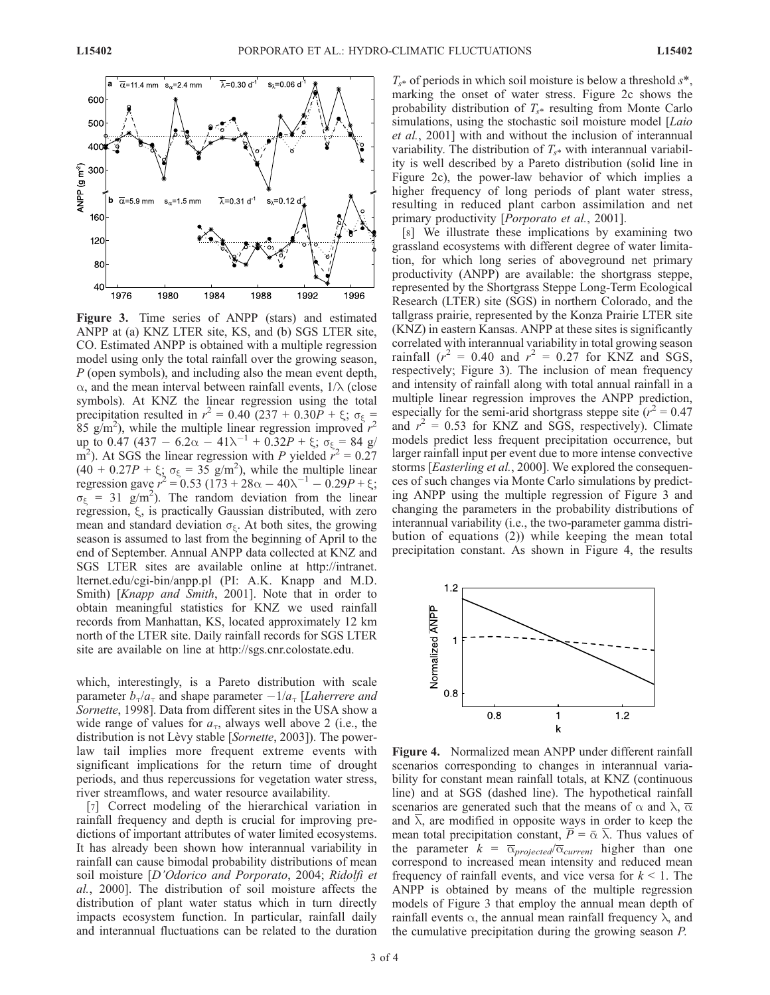

Figure 3. Time series of ANPP (stars) and estimated ANPP at (a) KNZ LTER site, KS, and (b) SGS LTER site, CO. Estimated ANPP is obtained with a multiple regression model using only the total rainfall over the growing season, P (open symbols), and including also the mean event depth,  $\alpha$ , and the mean interval between rainfall events,  $1/\lambda$  (close symbols). At KNZ the linear regression using the total precipitation resulted in  $r^2 = 0.40$  (237 + 0.30P +  $\xi$ ;  $\sigma_{\xi} =$ 85 g/m<sup>2</sup>), while the multiple linear regression improved  $r^2$ up to 0.47 (437 – 6.2 $\alpha$  – 41 $\lambda^{-1}$  + 0.32 $P$  +  $\xi$ ;  $\sigma_{\xi}$  = 84 g/ m<sup>2</sup>). At SGS the linear regression with P yielded  $\vec{r}^2 = 0.27$  $(40 + 0.27P + \xi_5 \sigma_{\xi} = 35 \text{ g/m}^2)$ , while the multiple linear regression gave  $r^2 = 0.53 (173 + 28\alpha - 40\lambda^{-1} - 0.29P + \xi;$  $\sigma_{\xi}$  = 31 g/m<sup>2</sup>). The random deviation from the linear regression,  $\xi$ , is practically Gaussian distributed, with zero mean and standard deviation  $\sigma_{\xi}$ . At both sites, the growing season is assumed to last from the beginning of April to the end of September. Annual ANPP data collected at KNZ and SGS LTER sites are available online at http://intranet. lternet.edu/cgi-bin/anpp.pl (PI: A.K. Knapp and M.D. Smith) [Knapp and Smith, 2001]. Note that in order to obtain meaningful statistics for KNZ we used rainfall records from Manhattan, KS, located approximately 12 km north of the LTER site. Daily rainfall records for SGS LTER site are available on line at http://sgs.cnr.colostate.edu.

which, interestingly, is a Pareto distribution with scale parameter  $b_{\tau}/a_{\tau}$  and shape parameter  $-1/a_{\tau}$  [Laherrere and Sornette, 1998]. Data from different sites in the USA show a wide range of values for  $a_{\tau}$ , always well above 2 (i.e., the distribution is not Lèvy stable [Sornette, 2003]). The powerlaw tail implies more frequent extreme events with significant implications for the return time of drought periods, and thus repercussions for vegetation water stress, river streamflows, and water resource availability.

[7] Correct modeling of the hierarchical variation in rainfall frequency and depth is crucial for improving predictions of important attributes of water limited ecosystems. It has already been shown how interannual variability in rainfall can cause bimodal probability distributions of mean soil moisture [D'Odorico and Porporato, 2004; Ridolfi et al., 2000]. The distribution of soil moisture affects the distribution of plant water status which in turn directly impacts ecosystem function. In particular, rainfall daily and interannual fluctuations can be related to the duration

 $T_{s*}$  of periods in which soil moisture is below a threshold  $s*$ , marking the onset of water stress. Figure 2c shows the probability distribution of  $T_{s*}$  resulting from Monte Carlo simulations, using the stochastic soil moisture model [Laio] et al., 2001] with and without the inclusion of interannual variability. The distribution of  $T_{s*}$  with interannual variability is well described by a Pareto distribution (solid line in Figure 2c), the power-law behavior of which implies a higher frequency of long periods of plant water stress, resulting in reduced plant carbon assimilation and net primary productivity [*Porporato et al.*, 2001].

[8] We illustrate these implications by examining two grassland ecosystems with different degree of water limitation, for which long series of aboveground net primary productivity (ANPP) are available: the shortgrass steppe, represented by the Shortgrass Steppe Long-Term Ecological Research (LTER) site (SGS) in northern Colorado, and the tallgrass prairie, represented by the Konza Prairie LTER site (KNZ) in eastern Kansas. ANPP at these sites is significantly correlated with interannual variability in total growing season rainfall ( $r^2 = 0.40$  and  $r^2 = 0.27$  for KNZ and SGS, respectively; Figure 3). The inclusion of mean frequency and intensity of rainfall along with total annual rainfall in a multiple linear regression improves the ANPP prediction, especially for the semi-arid shortgrass steppe site  $(r^2 = 0.47)$ and  $r^2 = 0.53$  for KNZ and SGS, respectively). Climate models predict less frequent precipitation occurrence, but larger rainfall input per event due to more intense convective storms [Easterling et al., 2000]. We explored the consequences of such changes via Monte Carlo simulations by predicting ANPP using the multiple regression of Figure 3 and changing the parameters in the probability distributions of interannual variability (i.e., the two-parameter gamma distribution of equations (2)) while keeping the mean total precipitation constant. As shown in Figure 4, the results



Figure 4. Normalized mean ANPP under different rainfall scenarios corresponding to changes in interannual variability for constant mean rainfall totals, at KNZ (continuous line) and at SGS (dashed line). The hypothetical rainfall scenarios are generated such that the means of  $\alpha$  and  $\lambda$ ,  $\overline{\alpha}$ and  $\overline{\lambda}$ , are modified in opposite ways in order to keep the mean total precipitation constant,  $\overline{P} = \overline{\alpha} \overline{\lambda}$ . Thus values of the parameter  $k = \overline{\alpha}_{projected}/\overline{\alpha}_{current}$  higher than one correspond to increased mean intensity and reduced mean frequency of rainfall events, and vice versa for  $k < 1$ . The ANPP is obtained by means of the multiple regression models of Figure 3 that employ the annual mean depth of rainfall events  $\alpha$ , the annual mean rainfall frequency  $\lambda$ , and the cumulative precipitation during the growing season P.